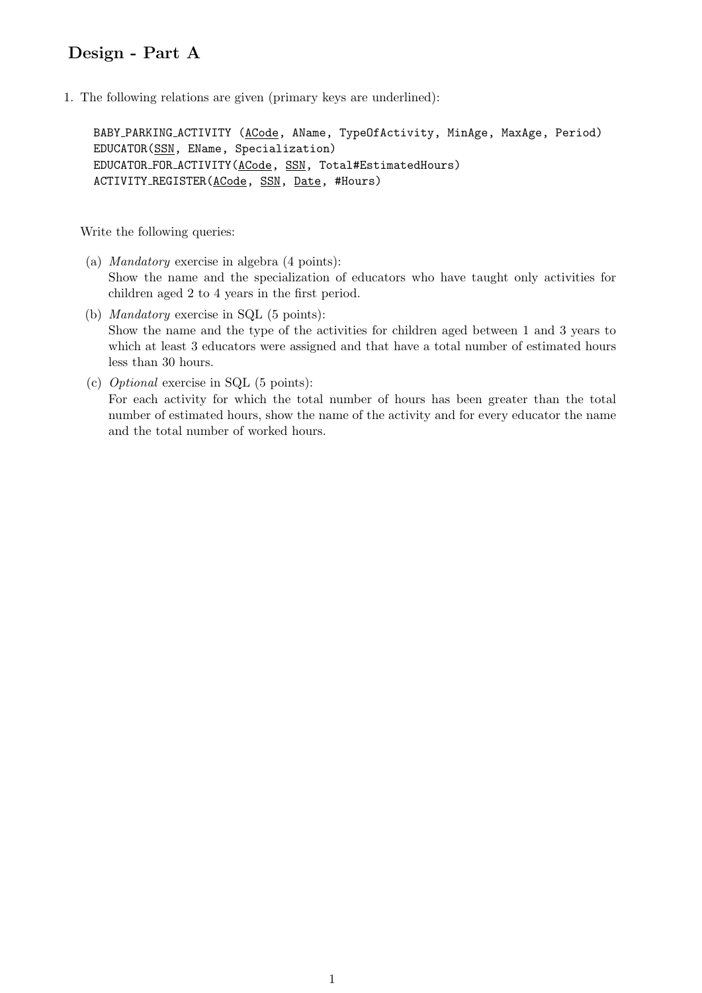## Design - Part A

1. The following relations are given (primary keys are underlined):

BABY PARKING ACTIVITY (ACode, AName, TypeOfActivity, MinAge, MaxAge, Period) EDUCATOR(SSN, EName, Specialization) EDUCATOR FOR ACTIVITY(ACode, SSN, Total#EstimatedHours) ACTIVITY REGISTER(ACode, SSN, Date, #Hours)

Write the following queries:

- (a) Mandatory exercise in algebra (4 points): Show the name and the specialization of educators who have taught only activities for children aged 2 to 4 years in the first period.
- (b) Mandatory exercise in SQL (5 points): Show the name and the type of the activities for children aged between 1 and 3 years to which at least 3 educators were assigned and that have a total number of estimated hours less than 30 hours.
- (c) Optional exercise in SQL (5 points): For each activity for which the total number of hours has been greater than the total number of estimated hours, show the name of the activity and for every educator the name and the total number of worked hours.